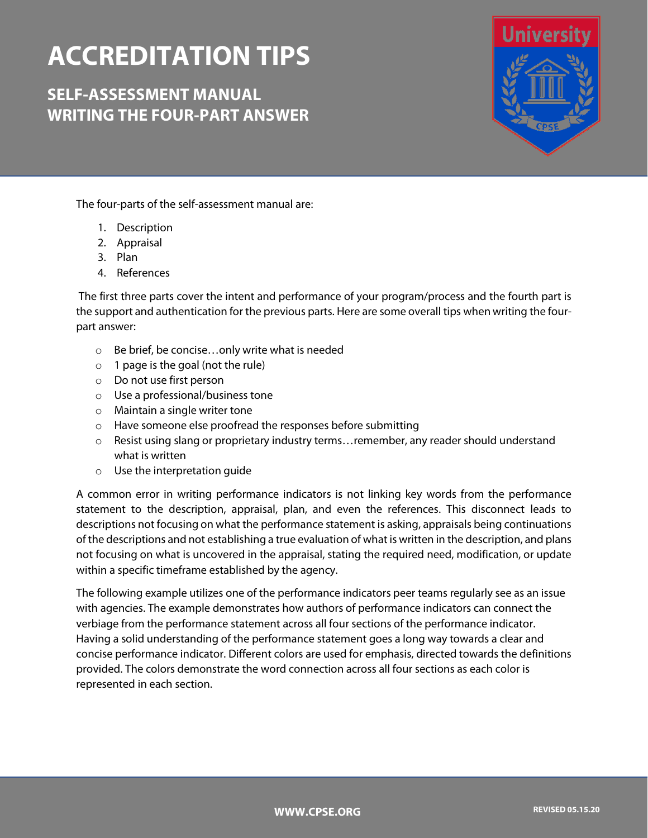# **ACCREDITATION TIPS**

**SELF-ASSESSMENT MANUAL WRITING THE FOUR-PART ANSWER**



The four-parts of the self-assessment manual are:

- 1. Description
- 2. Appraisal
- 3. Plan
- 4. References

The first three parts cover the intent and performance of your program/process and the fourth part is the support and authentication for the previous parts. Here are some overall tips when writing the fourpart answer:

- o Be brief, be concise…only write what is needed
- o 1 page is the goal (not the rule)
- o Do not use first person
- o Use a professional/business tone
- o Maintain a single writer tone
- o Have someone else proofread the responses before submitting
- o Resist using slang or proprietary industry terms…remember, any reader should understand what is written
- o Use the interpretation guide

A common error in writing performance indicators is not linking key words from the performance statement to the description, appraisal, plan, and even the references. This disconnect leads to descriptions not focusing on what the performance statement is asking, appraisals being continuations of the descriptions and not establishing a true evaluation of what is written in the description, and plans not focusing on what is uncovered in the appraisal, stating the required need, modification, or update within a specific timeframe established by the agency.

The following example utilizes one of the performance indicators peer teams regularly see as an issue with agencies. The example demonstrates how authors of performance indicators can connect the verbiage from the performance statement across all four sections of the performance indicator. Having a solid understanding of the performance statement goes a long way towards a clear and concise performance indicator. Different colors are used for emphasis, directed towards the definitions provided. The colors demonstrate the word connection across all four sections as each color is represented in each section.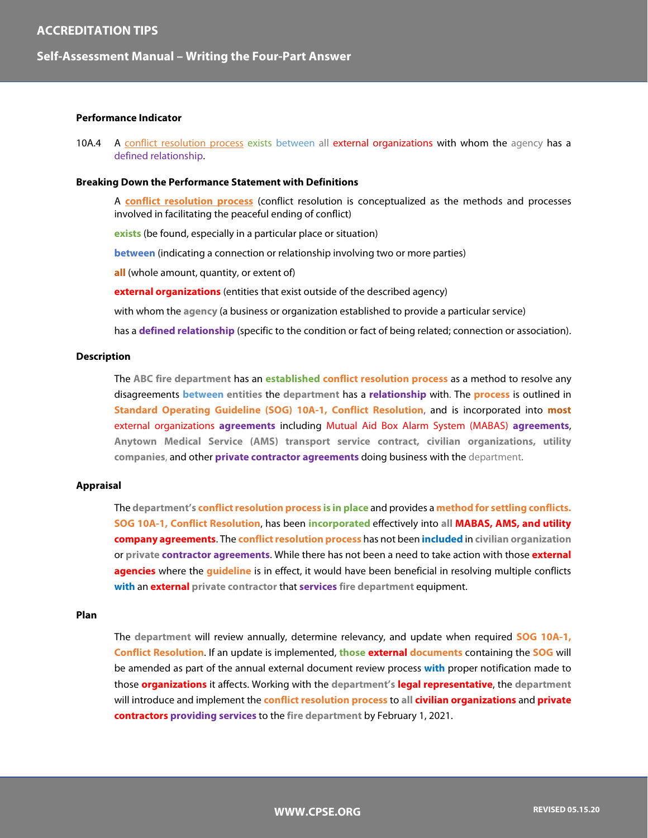### **Self-Assessment Manual – Writing the Four-Part Answer**

#### **Performance Indicator**

10A.4 A conflict resolution process exists between all external organizations with whom the agency has a defined relationship.

#### **Breaking Down the Performance Statement with Definitions**

A **conflict resolution process** (conflict resolution is conceptualized as the methods and processes involved in facilitating the peaceful ending of conflict)

**exists** (be found, especially in a particular place or situation)

**between** (indicating a connection or relationship involving two or more parties)

**all** (whole amount, quantity, or extent of)

**external organizations** (entities that exist outside of the described agency)

with whom the **agency** (a business or organization established to provide a particular service)

has a **defined relationship** (specific to the condition or fact of being related; connection or association).

#### **Description**

The **ABC fire department** has an **established conflict resolution process** as a method to resolve any disagreements **between entities** the **department** has a **relationship** with. The **process** is outlined in **Standard Operating Guideline (SOG) 10A-1, Conflict Resolution**, and is incorporated into **most** external organizations **agreements** including Mutual Aid Box Alarm System (MABAS) **agreements**, **Anytown Medical Service (AMS) transport service contract, civilian organizations, utility companies**, and other **private contractor agreements** doing business with the department.

#### **Appraisal**

The **department's conflict resolution process is in place** and provides a **method for settling conflicts. SOG 10A-1, Conflict Resolution**, has been **incorporated** effectively into **all MABAS, AMS, and utility company agreements**. The **conflict resolution process** has not been **included** in **civilian organization**  or **private contractor agreements**. While there has not been a need to take action with those **external agencies** where the **guideline** is in effect, it would have been beneficial in resolving multiple conflicts **with** an **external private contractor** that **services fire department** equipment.

#### **Plan**

The **department** will review annually, determine relevancy, and update when required **SOG 10A-1, Conflict Resolution**. If an update is implemented, **those external documents** containing the **SOG** will be amended as part of the annual external document review process **with** proper notification made to those **organizations** it affects. Working with the **department's legal representative**, the **department** will introduce and implement the **conflict resolution process** to **all civilian organizations** and **private contractors providing services** to the **fire department** by February 1, 2021.